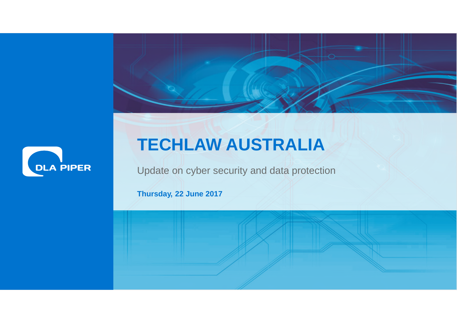



## **TECHLAW AUSTRALIA**

Update on cyber security and data protection

where  $\mathcal{M}$  is a complete relation of  $\mathcal{M}$  . Thus define 2017 of  $\mathcal{M}$ 

**Thursday, 22 June 2017**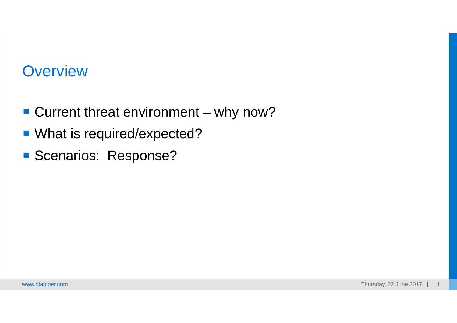## **Overview**

- Current threat environment why now?
- What is required/expected?
- Scenarios: Response?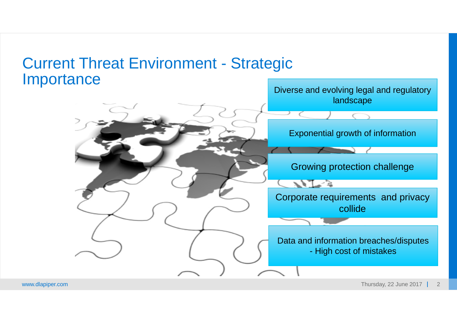#### Current Threat Environment - Strategic **Importance**

#### Diverse and evolving legal and regulatory landscape

#### Exponential growth of information

Growing protection challenge

Corporate requirements and privacy collide

Data and information breaches/disputes - High cost of mistakes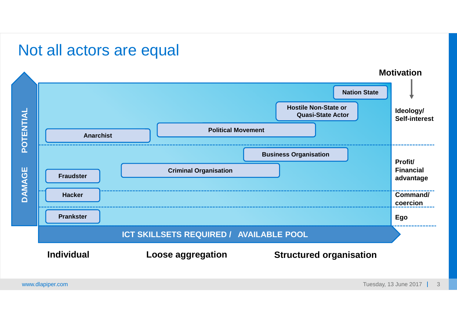#### Not all actors are equal

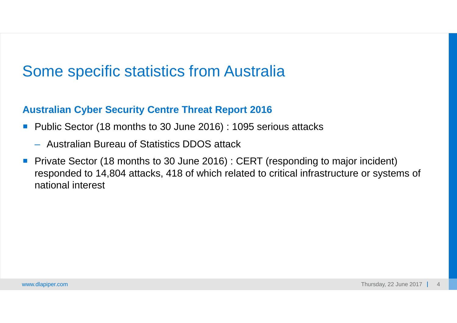### Some specific statistics from Australia

#### **Australian Cyber Security Centre Threat Report 2016**

- Public Sector (18 months to 30 June 2016) : 1095 serious attacks
	- Australian Bureau of Statistics DDOS attack
- **Private Sector (18 months to 30 June 2016): CERT (responding to major incident)** responded to 14,804 attacks, 418 of which related to critical infrastructure or systems of national interest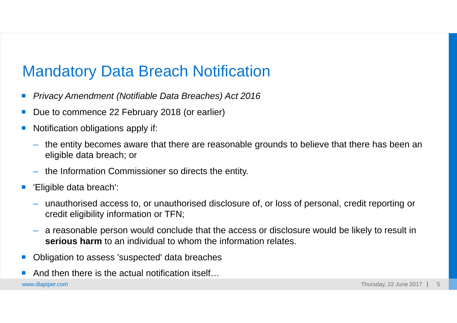### Mandatory Data Breach Notification

- *Privacy Amendment (Notifiable Data Breaches) Act 2016*
- Due to commence 22 February 2018 (or earlier)
- Notification obligations apply if:
	- the entity becomes aware that there are reasonable grounds to believe that there has been an eligible data breach; or
	- the Information Commissioner so directs the entity.
- 'Eligible data breach':
	- unauthorised access to, or unauthorised disclosure of, or loss of personal, credit reporting or credit eligibility information or TFN;
	- a reasonable person would conclude that the access or disclosure would be likely to result in **serious harm** to an individual to whom the information relates.
- Obligation to assess 'suspected' data breaches
- And then there is the actual notification itself…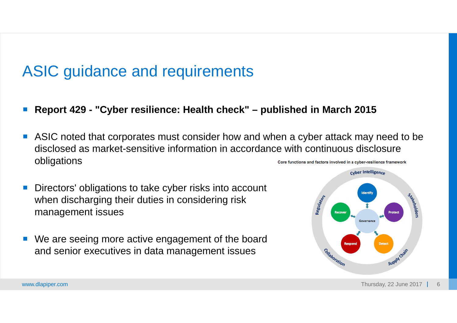### ASIC guidance and requirements

- **Report 429 "Cyber resilience: Health check" published in March 2015**
- ASIC noted that corporates must consider how and when a cyber attack may need to be disclosed as market-sensitive information in accordance with continuous disclosure obligations Core functions and factors involved in a cyber-resilience framework
- Directors' obligations to take cyber risks into account when discharging their duties in considering risk management issues
- We are seeing more active engagement of the board and senior executives in data management issues

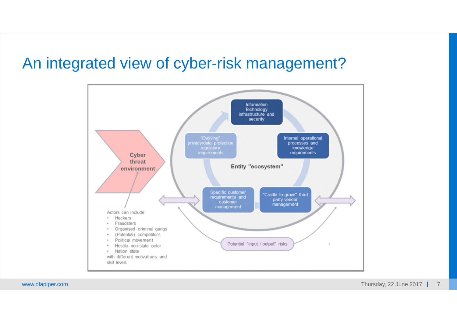### An integrated view of cyber-risk management?

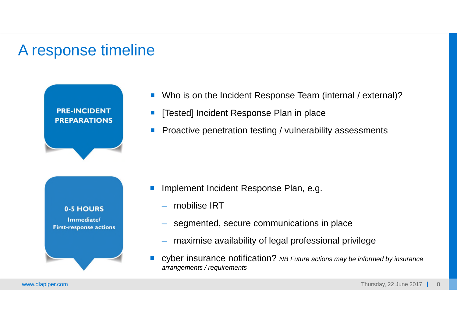### A response timeline





- Who is on the Incident Response Team (internal / external)?
- [Tested] Incident Response Plan in place
- Proactive penetration testing / vulnerability assessments

- Implement Incident Response Plan, e.g.
	- mobilise IRT
	- segmented, secure communications in place
	- maximise availability of legal professional privilege
- cyber insurance notification? *NB Future actions may be informed by insurance arrangements / requirements*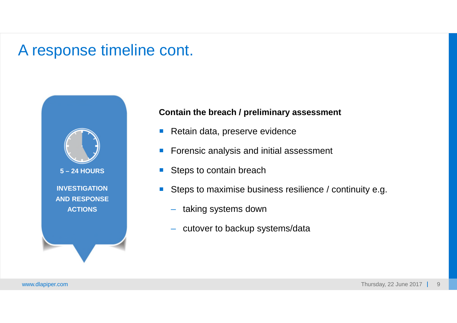

#### **Contain the breach / preliminary assessment**

- Retain data, preserve evidence
- Forensic analysis and initial assessment
- Steps to contain breach
- Steps to maximise business resilience / continuity e.g.
	- taking systems down
	- cutover to backup systems/data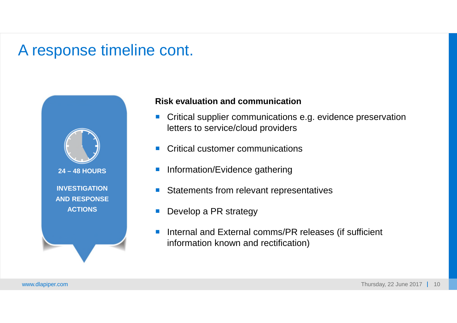![](_page_10_Picture_1.jpeg)

#### **Risk evaluation and communication**

- **Critical supplier communications e.g. evidence preservation** letters to service/cloud providers
- Critical customer communications
- **Information/Evidence gathering**
- Statements from relevant representatives
- Develop a PR strategy
- Internal and External comms/PR releases (if sufficient information known and rectification)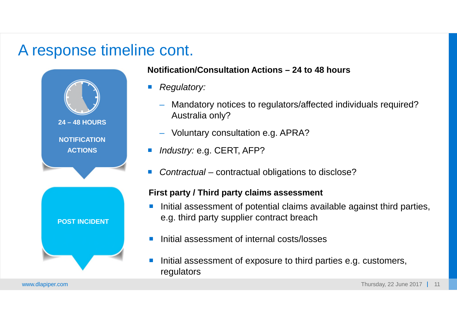![](_page_11_Picture_1.jpeg)

#### **Notification/Consultation Actions – 24 to 48 hours**

- *Regulatory:*
	- Mandatory notices to regulators/affected individuals required? Australia only?
	- Voluntary consultation e.g. APRA?
- *Industry:* e.g. CERT, AFP?
- *Contractual* contractual obligations to disclose?

#### **First party / Third party claims assessment**

- Initial assessment of potential claims available against third parties, e.g. third party supplier contract breach
- Initial assessment of internal costs/losses
- Initial assessment of exposure to third parties e.g. customers, regulators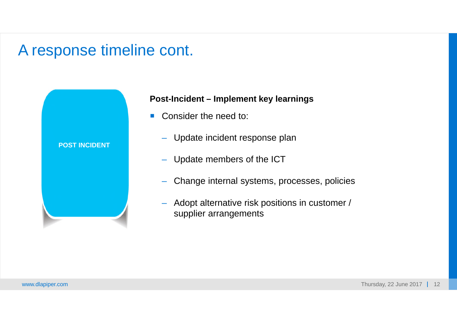![](_page_12_Figure_1.jpeg)

#### **Post-Incident – Implement key learnings**

- Consider the need to:
	- Update incident response plan
	- Update members of the ICT
	- Change internal systems, processes, policies
	- Adopt alternative risk positions in customer / supplier arrangements